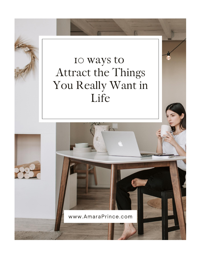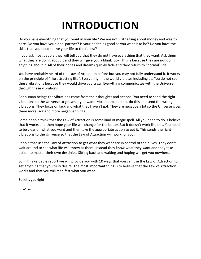# **INTRODUCTION**

Do you have everything that you want in your life? We are not just talking about money and wealth here. Do you have your ideal partner? Is your health as good as you want it to be? Do you have the skills that you need to live your life to the fullest?

If you ask most people they will tell you that they do not have everything that they want. Ask them what they are doing about it and they will give you a blank look. This is because they are not doing anything about it. All of their hopes and dreams quickly fade and they return to "normal" life.

You have probably heard of the Law of Attraction before but you may not fully understand it. It works on the principle of "like attracting like". Everything in the world vibrates including us. You do not see these vibrations because they would drive you crazy. Everything communicates with the Universe through these vibrations.

For human beings the vibrations come from their thoughts and actions. You need to send the right vibrations to the Universe to get what you want. Most people do not do this and send the wrong vibrations. They focus on lack and what they haven't got. They are negative a lot so the Universe gives them more lack and more negative things.

Some people think that the Law of Attraction is some kind of magic spell. All you need to do is believe that it works and then hope your life will change for the better. But it doesn't work like this. You need to be clear on what you want and then take the appropriate action to get it. This sends the right vibrations to the Universe so that the Law of Attraction will work for you.

People that use the Law of Attraction to get what they want are in control of their lives. They don't wait around to see what life will throw at them. Instead they know what they want and they take action to master their own destinies. Sitting back and waiting and hoping will get you nowhere.

So in this valuable report we will provide you with 10 ways that you can use the Law of Attraction to get anything that you truly desire. The most important thing is to believe that the Law of Attraction works and that you will manifest what you want.

So let's get right

into it…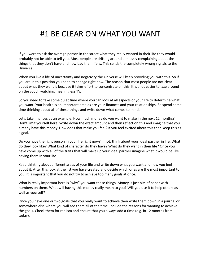#### #1 BE CLEAR ON WHAT YOU WANT

If you were to ask the average person in the street what they really wanted in their life they would probably not be able to tell you. Most people are drifting around aimlessly complaining about the things that they don't have and how bad their life is. This sends the completely wrong signals to the Universe.

When you live a life of uncertainty and negativity the Universe will keep providing you with this. So if you are in this position you need to change right now. The reason that most people are not clear about what they want is because it takes effort to concentrate on this. It is a lot easier to laze around on the couch watching meaningless TV.

So you need to take some quiet time where you can look at all aspects of your life to determine what you want. Your health is an important area as are your finances and your relationships. So spend some time thinking about all of these things and write down what comes to mind.

Let's take finances as an example. How much money do you want to make in the next 12 months? Don't limit yourself here. Write down the exact amount and then reflect on this and imagine that you already have this money. How does that make you feel? If you feel excited about this then keep this as a goal.

Do you have the right person in your life right now? If not, think about your ideal partner in life. What do they look like? What kind of character do they have? What do they want in their life? Once you have come up with all of the traits that will make up your ideal partner imagine what it would be like having them in your life.

Keep thinking about different areas of your life and write down what you want and how you feel about it. After this look at the list you have created and decide which ones are the most important to you. It is important that you do not try to achieve too many goals at once.

What is really important here is "why" you want these things. Money is just bits of paper with numbers on them. What will having this money really mean to you? Will you use it to help others as well as yourself?

Once you have one or two goals that you really want to achieve then write them down in a journal or somewhere else where you will see them all of the time. Include the reasons for wanting to achieve the goals. Check them for realism and ensure that you always add a time (e.g. in 12 months from today).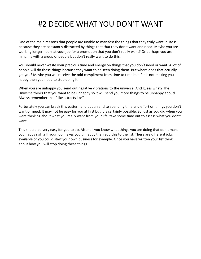### #2 DECIDE WHAT YOU DON'T WANT

One of the main reasons that people are unable to manifest the things that they truly want in life is because they are constantly distracted by things that that they don't want and need. Maybe you are working longer hours at your job for a promotion that you don't really want? Or perhaps you are mingling with a group of people but don't really want to do this.

You should never waste your precious time and energy on things that you don't need or want. A lot of people will do these things because they want to be seen doing them. But where does that actually get you? Maybe you will receive the odd compliment from time to time but if it is not making you happy then you need to stop doing it.

When you are unhappy you send out negative vibrations to the universe. And guess what? The Universe thinks that you want to be unhappy so it will send you more things to be unhappy about! Always remember that "like attracts like".

Fortunately you can break this pattern and put an end to spending time and effort on things you don't want or need. It may not be easy for you at first but it is certainly possible. So just as you did when you were thinking about what you really want from your life, take some time out to assess what you don't want.

This should be very easy for you to do. After all you know what things you are doing that don't make you happy right? If your job makes you unhappy then add this to the list. There are different jobs available or you could start your own business for example. Once you have written your list think about how you will stop doing these things.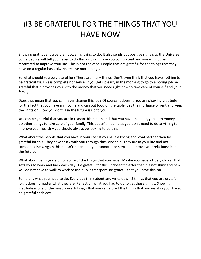## #3 BE GRATEFUL FOR THE THINGS THAT YOU HAVE NOW

Showing gratitude is a very empowering thing to do. It also sends out positive signals to the Universe. Some people will tell you never to do this as it can make you complacent and you will not be motivated to improve your life. This is not the case. People that are grateful for the things that they have on a regular basis always receive more things.

So what should you be grateful for? There are many things. Don't even think that you have nothing to be grateful for. This is complete nonsense. If you get up early in the morning to go to a boring job be grateful that it provides you with the money that you need right now to take care of yourself and your family.

Does that mean that you can never change this job? Of course it doesn't. You are showing gratitude for the fact that you have an income and can put food on the table, pay the mortgage or rent and keep the lights on. How you do this in the future is up to you.

You can be grateful that you are in reasonable health and that you have the energy to earn money and do other things to take care of your family. This doesn't mean that you don't need to do anything to improve your health – you should always be looking to do this.

What about the people that you have in your life? If you have a loving and loyal partner then be grateful for this. They have stuck with you through thick and thin. They are in your life and not someone else's. Again this doesn't mean that you cannot take steps to improve your relationship in the future.

What about being grateful for some of the things that you have? Maybe you have a trusty old car that gets you to work and back each day? Be grateful for this. It doesn't matter that it is not shiny and new. You do not have to walk to work or use public transport. Be grateful that you have this car.

So here is what you need to do. Every day think about and write down 3 things that you are grateful for. It doesn't matter what they are. Reflect on what you had to do to get these things. Showing gratitude is one of the most powerful ways that you can attract the things that you want in your life so be grateful each day.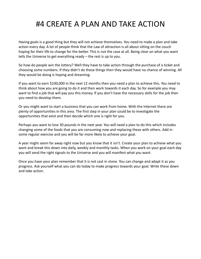### #4 CREATE A PLAN AND TAKE ACTION

Having goals is a good thing but they will not achieve themselves. You need to make a plan and take action every day. A lot of people think that the Law of attraction is all about sitting on the couch hoping for their life to change for the better. This is not the case at all. Being clear on what you want tells the Universe to get everything ready – the rest is up to you.

So how do people win the lottery? Well they have to take action through the purchase of a ticket and choosing some numbers. If they didn't do these things then they would have no chance of winning. All they would be doing is hoping and dreaming.

If you want to earn \$100,000 in the next 12 months then you need a plan to achieve this. You need to think about how you are going to do it and then work towards it each day. So for example you may want to find a job that will pay you this money. If you don't have the necessary skills for the job then you need to develop them.

Or you might want to start a business that you can work from home. With the Internet there are plenty of opportunities in this area. The first step in your plan could be to investigate the opportunities that exist and then decide which one is right for you.

Perhaps you want to lose 30 pounds in the next year. You will need a plan to do this which includes changing some of the foods that you are consuming now and replacing these with others. Add in some regular exercise and you will be far more likely to achieve your goal.

A year might seem far away right now but you know that it isn't. Create your plan to achieve what you want and break this down into daily, weekly and monthly tasks. When you work on your goal each day you will send the right signals to the Universe and you will manifest what you want.

Once you have your plan remember that it is not cast in stone. You can change and adapt it as you progress. Ask yourself what you can do today to make progress towards your goal. Write these down and take action.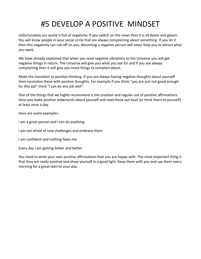## #5 DEVELOP A POSITIVE MINDSET

Unfortunately our world is full of negativity. If you switch on the news then it is all doom and gloom. You will know people in your social circle that are always complaining about something. If you let it then this negativity can rub off on you. Becoming a negative person will never help you to attract what you want.

We have already explained that when you send negative vibrations to the Universe you will get negative things in return. The Universe will give you what you ask for and if you are always complaining then it will give you more things to complain about.

Make the transition to positive thinking. If you are always having negative thoughts about yourself then neutralize these with positive thoughts. For example if you think "you are just not good enough for this job" think "I can do any job well".

One of the things that we highly recommend is the creation and regular use of positive affirmations. Here you make positive statements about yourself and read these out loud (or think them to yourself) at least once a day.

Here are some examples:

I am a great person and I can do anything

I am not afraid of new challenges and embrace them

I am confident and nothing fazes me

Every day I am getting better and better

You need to write your own positive affirmations that you are happy with. The most important thing is that they are really positive and show yourself in a good light. Keep them with you and say them every morning for a great start to your day.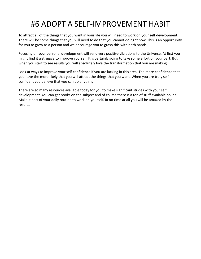## #6 ADOPT A SELF-IMPROVEMENT HABIT

To attract all of the things that you want in your life you will need to work on your self development. There will be some things that you will need to do that you cannot do right now. This is an opportunity for you to grow as a person and we encourage you to grasp this with both hands.

Focusing on your personal development will send very positive vibrations to the Universe. At first you might find it a struggle to improve yourself. It is certainly going to take some effort on your part. But when you start to see results you will absolutely love the transformation that you are making.

Look at ways to improve your self confidence if you are lacking in this area. The more confidence that you have the more likely that you will attract the things that you want. When you are truly self confident you believe that you can do anything.

There are so many resources available today for you to make significant strides with your self development. You can get books on the subject and of course there is a ton of stuff available online. Make it part of your daily routine to work on yourself. In no time at all you will be amazed by the results.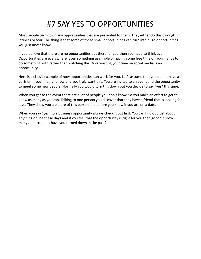## #7 SAY YES TO OPPORTUNITIES

Most people turn down any opportunities that are presented to them. They either do this through laziness or fear. The thing is that some of these small opportunities can turn into huge opportunities. You just never know.

If you believe that there are no opportunities out there for you then you need to think again. Opportunities are everywhere. Even something as simple of having some free time on your hands to do something with rather than watching the TV or wasting your time on social media is an opportunity.

Here is a classic example of how opportunities can work for you. Let's assume that you do not have a partner in your life right now and you truly want this. You are invited to an event and the opportunity to meet some new people. Normally you would turn this down but you decide to say "yes" this time.

When you get to the event there are a lot of people you don't know. So you make an effort to get to know as many as you can. Talking to one person you discover that they have a friend that is looking for love. They show you a picture of this person and before you know it you are on a date.

When you say "yes" to a business opportunity always check it out first. You can find out just about anything online these days and if you feel that the opportunity is right for you then go for it. How many opportunities have you turned down in the past?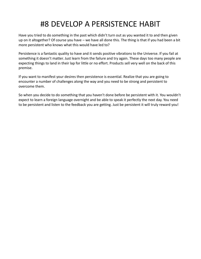## #8 DEVELOP A PERSISTENCE HABIT

Have you tried to do something in the past which didn't turn out as you wanted it to and then given up on it altogether? Of course you have – we have all done this. The thing is that if you had been a bit more persistent who knows what this would have led to?

Persistence is a fantastic quality to have and it sends positive vibrations to the Universe. If you fail at something it doesn't matter. Just learn from the failure and try again. These days too many people are expecting things to land in their lap for little or no effort. Products sell very well on the back of this premise.

If you want to manifest your desires then persistence is essential. Realize that you are going to encounter a number of challenges along the way and you need to be strong and persistent to overcome them.

So when you decide to do something that you haven't done before be persistent with it. You wouldn't expect to learn a foreign language overnight and be able to speak it perfectly the next day. You need to be persistent and listen to the feedback you are getting. Just be persistent it will truly reward you!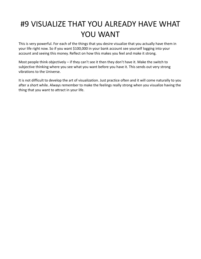## #9 VISUALIZE THAT YOU ALREADY HAVE WHAT YOU WANT

This is very powerful. For each of the things that you desire visualize that you actually have them in your life right now. So if you want \$100,000 in your bank account see yourself logging into your account and seeing this money. Reflect on how this makes you feel and make it strong.

Most people think objectively – if they can't see it then they don't have it. Make the switch to subjective thinking where you see what you want before you have it. This sends out very strong vibrations to the Universe.

It is not difficult to develop the art of visualization. Just practice often and it will come naturally to you after a short while. Always remember to make the feelings really strong when you visualize having the thing that you want to attract in your life.